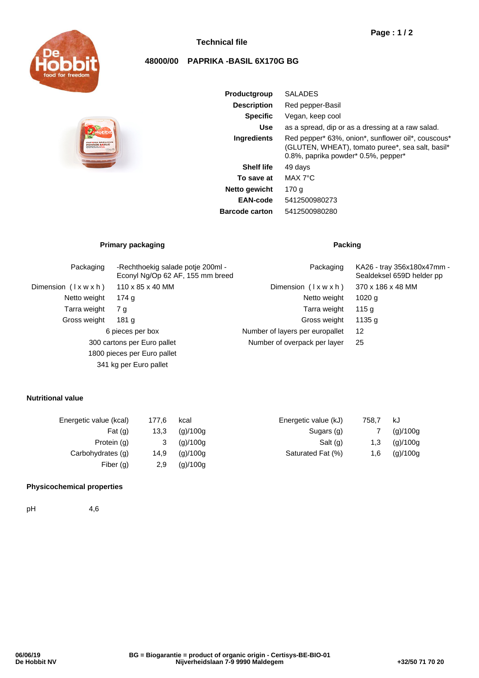

## **Technical file**

# **Page : 1 / 2**

## **48000/00 PAPRIKA -BASIL 6X170G BG**



| <b>Productgroup</b>   | <b>SALADES</b>                                                                                                                                |
|-----------------------|-----------------------------------------------------------------------------------------------------------------------------------------------|
| <b>Description</b>    | Red pepper-Basil                                                                                                                              |
| <b>Specific</b>       | Vegan, keep cool                                                                                                                              |
| Use                   | as a spread, dip or as a dressing at a raw salad.                                                                                             |
| <b>Ingredients</b>    | Red pepper* 63%, onion*, sunflower oil*, couscous*<br>(GLUTEN, WHEAT), tomato puree*, sea salt, basil*<br>0.8%, paprika powder* 0.5%, pepper* |
| <b>Shelf life</b>     | 49 days                                                                                                                                       |
| To save at            | MAX 7°C                                                                                                                                       |
| Netto gewicht         | 170 g                                                                                                                                         |
| EAN-code              | 5412500980273                                                                                                                                 |
| <b>Barcode carton</b> | 5412500980280                                                                                                                                 |
|                       |                                                                                                                                               |

## **Primary packaging Packing Packing**

| Packaging                   | -Rechthoekig salade potje 200ml -<br>Econyl Ng/Op 62 AF, 155 mm breed | Packaging                       | KA26 - tray 356x180x47mm -<br>Sealdeksel 659D helder pp |
|-----------------------------|-----------------------------------------------------------------------|---------------------------------|---------------------------------------------------------|
| Dimension (Ixwxh)           | $110 \times 85 \times 40$ MM                                          | Dimension $(\forall x w x h)$   | 370 x 186 x 48 MM                                       |
| Netto weight                | 174 g                                                                 | Netto weight                    | 1020 <sub>q</sub>                                       |
| Tarra weight                | 7 g                                                                   | Tarra weight                    | 115 g                                                   |
| Gross weight                | 181 g                                                                 | Gross weight                    | 1135 g                                                  |
| 6 pieces per box            |                                                                       | Number of layers per europallet | 12                                                      |
| 300 cartons per Euro pallet |                                                                       | Number of overpack per layer    | 25                                                      |
|                             | 1800 pieces per Euro pallet                                           |                                 |                                                         |
|                             | 341 kg per Euro pallet                                                |                                 |                                                         |

### **Nutritional value**

| Energetic value (kcal) | 177.6 | kcal     | Energetic value (kJ) | 758.7 | kJ       |
|------------------------|-------|----------|----------------------|-------|----------|
| Fat $(g)$              | 13,3  | (g)/100g | Sugars (g)           |       | (g)/100g |
| Protein (g)            |       | (g)/100g | Salt (g)             | 1,3   | (g)/100g |
| Carbohydrates (g)      | 14,9  | (g)/100g | Saturated Fat (%)    | 1,6   | (g)/100g |
| Fiber $(q)$            | 2,9   | (g)/100g |                      |       |          |
|                        |       |          |                      |       |          |

### **Physicochemical properties**

pH 4,6